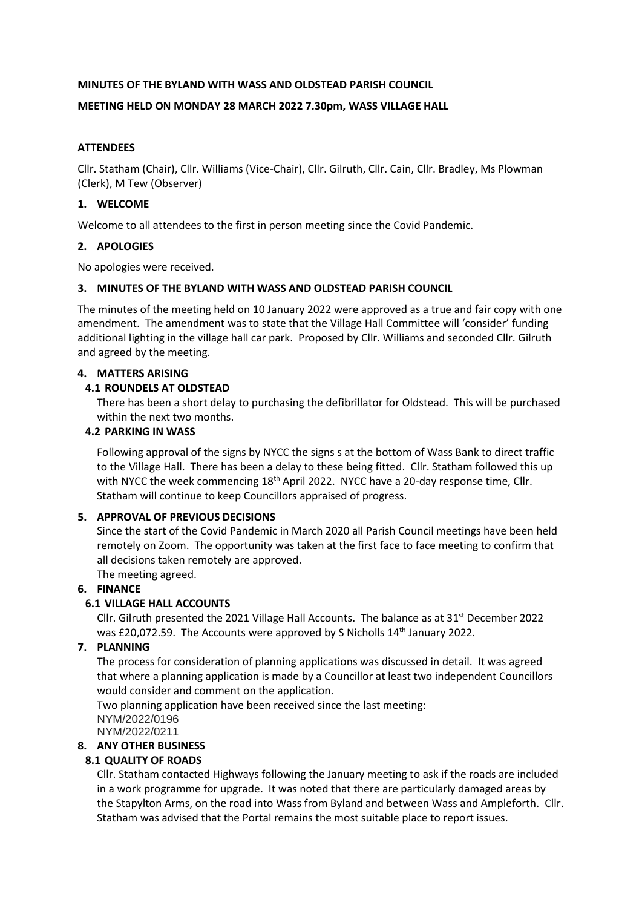#### **MINUTES OF THE BYLAND WITH WASS AND OLDSTEAD PARISH COUNCIL**

#### **MEETING HELD ON MONDAY 28 MARCH 2022 7.30pm, WASS VILLAGE HALL**

### **ATTENDEES**

Cllr. Statham (Chair), Cllr. Williams (Vice-Chair), Cllr. Gilruth, Cllr. Cain, Cllr. Bradley, Ms Plowman (Clerk), M Tew (Observer)

### **1. WELCOME**

Welcome to all attendees to the first in person meeting since the Covid Pandemic.

### **2. APOLOGIES**

No apologies were received.

#### **3. MINUTES OF THE BYLAND WITH WASS AND OLDSTEAD PARISH COUNCIL**

The minutes of the meeting held on 10 January 2022 were approved as a true and fair copy with one amendment. The amendment was to state that the Village Hall Committee will 'consider' funding additional lighting in the village hall car park. Proposed by Cllr. Williams and seconded Cllr. Gilruth and agreed by the meeting.

### **4. MATTERS ARISING**

### **4.1 ROUNDELS AT OLDSTEAD**

There has been a short delay to purchasing the defibrillator for Oldstead. This will be purchased within the next two months.

### **4.2 PARKING IN WASS**

Following approval of the signs by NYCC the signs s at the bottom of Wass Bank to direct traffic to the Village Hall. There has been a delay to these being fitted. Cllr. Statham followed this up with NYCC the week commencing 18<sup>th</sup> April 2022. NYCC have a 20-day response time, Cllr. Statham will continue to keep Councillors appraised of progress.

# **5. APPROVAL OF PREVIOUS DECISIONS**

Since the start of the Covid Pandemic in March 2020 all Parish Council meetings have been held remotely on Zoom. The opportunity was taken at the first face to face meeting to confirm that all decisions taken remotely are approved.

The meeting agreed.

# **6. FINANCE**

# **6.1 VILLAGE HALL ACCOUNTS**

Cllr. Gilruth presented the 2021 Village Hall Accounts. The balance as at  $31<sup>st</sup>$  December 2022 was £20,072.59. The Accounts were approved by S Nicholls 14<sup>th</sup> January 2022.

### **7. PLANNING**

The process for consideration of planning applications was discussed in detail. It was agreed that where a planning application is made by a Councillor at least two independent Councillors would consider and comment on the application.

Two planning application have been received since the last meeting: NYM/2022/0196 NYM/2022/0211

#### **8. ANY OTHER BUSINESS**

# **8.1 QUALITY OF ROADS**

Cllr. Statham contacted Highways following the January meeting to ask if the roads are included in a work programme for upgrade. It was noted that there are particularly damaged areas by the Stapylton Arms, on the road into Wass from Byland and between Wass and Ampleforth. Cllr. Statham was advised that the Portal remains the most suitable place to report issues.